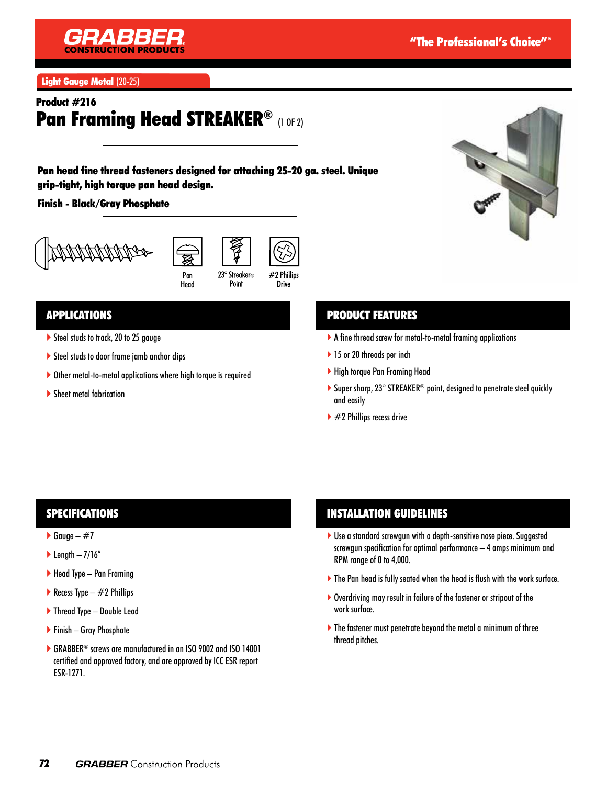

Light Gauge Metal (20-25)

# Product #216 Pan Framing Head STREAKER® (1 OF 2)

Pan head fine thread fasteners designed for attaching 25-20 ga. steel. Unique grip-tight, high torque pan head design.

#### Finish - Black/Gray Phosphate







23° Streaker® Point Drive

## APPLICATIONS

- Steel studs to track, 20 to 25 gauge
- ▶ Steel studs to door frame jamb anchor clips
- Other metal-to-metal applications where high torque is required
- Sheet metal fabrication

## PRODUCT FEATURES

- A fine thread screw for metal-to-metal framing applications
- ▶ 15 or 20 threads per inch
- High torque Pan Framing Head
- ▶ Super sharp, 23° STREAKER<sup>®</sup> point, designed to penetrate steel quickly and easily
- $\blacktriangleright$  #2 Phillips recess drive

#### **SPECIFICATIONS**

- $\blacktriangleright$  Gauge #7
- length  $-7/16''$
- $\blacktriangleright$  Head Type Pan Framing
- Recess Type  $-$  #2 Phillips
- ▶ Thread Type Double Lead
- ▶ Finish Gray Phosphate
- ▶ GRABBER<sup>®</sup> screws are manufactured in an ISO 9002 and ISO 14001 certified and approved factory, and are approved by ICC ESR report ESR-1271.

#### INSTALLATION GUIDELINES

- ▶ Use a standard screwgun with a depth-sensitive nose piece. Suggested screwgun specification for optimal performance – 4 amps minimum and RPM range of 0 to 4,000.
- The Pan head is fully seated when the head is flush with the work surface.
- Overdriving may result in failure of the fastener or stripout of the work surface.
- The fastener must penetrate beyond the metal a minimum of three thread pitches.